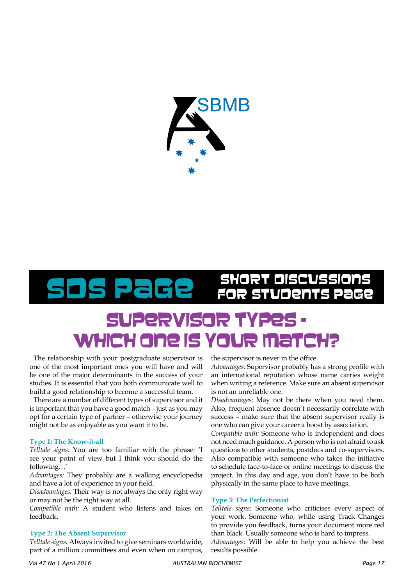

## PaGe SHORT DISCUSSIONS

### SUPERVISOR TYP which one is your ma

The relationship with your postgraduate supervisor is one of the most important ones you will have and will be one of the major determinants in the success of your studies. It is essential that you both communicate well to build a good relationship to become a successful team.

There are a number of different types of supervisor and it is important that you have a good match – just as you may opt for a certain type of partner – otherwise your journey might not be as enjoyable as you want it to be.

#### **Type 1: The Know-it-all**

*Telltale signs:* You are too familiar with the phrase: 'I see your point of view but I think you should do the following…'

*Advantages:* They probably are a walking encyclopedia and have a lot of experience in your field.

*Disadvantages:* Their way is not always the only right way or may not be the right way at all.

*Compatible with:* A student who listens and takes on feedback.

#### **Type 2: The Absent Supervisor**

*Telltale signs:* Always invited to give seminars worldwide, part of a million committees and even when on campus, the supervisor is never in the office.

*Advantages:* Supervisor probably has a strong profile with an international reputation whose name carries weight when writing a reference. Make sure an absent supervisor is not an unreliable one.

*Disadvantages:* May not be there when you need them. Also, frequent absence doesn't necessarily correlate with success – make sure that the absent supervisor really is one who can give your career a boost by association.

*Compatible with:* Someone who is independent and does not need much guidance. A person who is not afraid to ask questions to other students, postdocs and co-supervisors. Also compatible with someone who takes the initiative to schedule face-to-face or online meetings to discuss the project. In this day and age, you don't have to be both physically in the same place to have meetings.

#### **Type 3: The Perfectionist**

*Telltale signs:* Someone who criticises every aspect of your work. Someone who, while using Track Changes to provide you feedback, turns your document more red than black. Usually someone who is hard to impress.

*Advantages:* Will be able to help you achieve the best results possible.